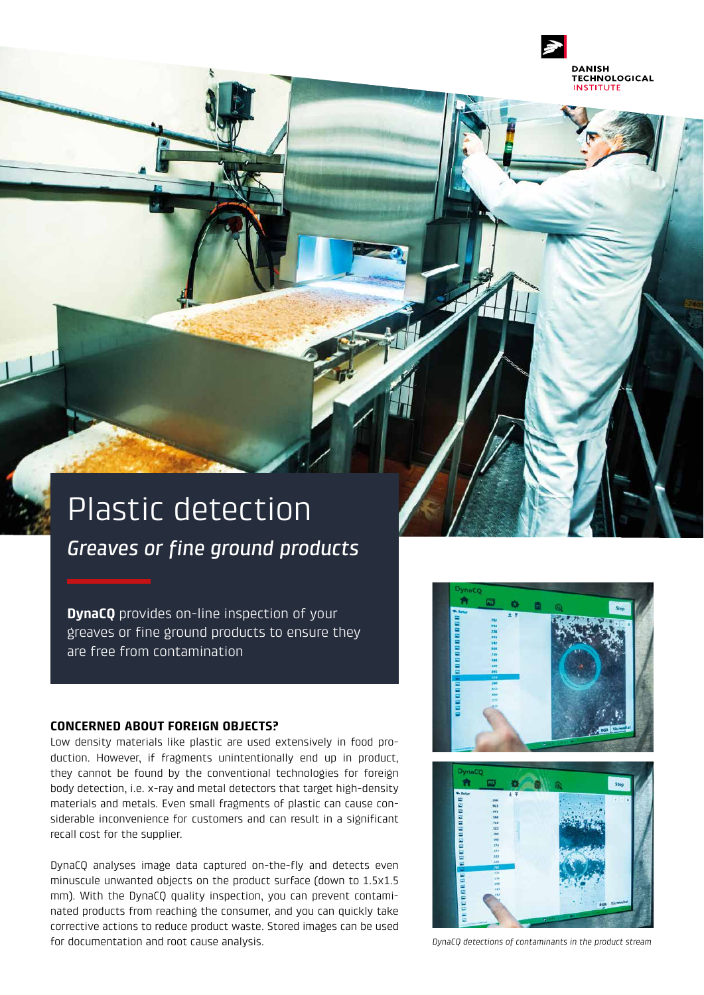

# Plastic detection

*Greaves or fine ground products*

**DynaCQ** provides on-line inspection of your greaves or fine ground products to ensure they are free from contamination

#### **CONCERNED ABOUT FOREIGN OBJECTS?**

Low density materials like plastic are used extensively in food production. However, if fragments unintentionally end up in product, they cannot be found by the conventional technologies for foreign body detection, i.e. x-ray and metal detectors that target high-density materials and metals. Even small fragments of plastic can cause considerable inconvenience for customers and can result in a significant recall cost for the supplier.

DynaCQ analyses image data captured on-the-fly and detects even minuscule unwanted objects on the product surface (down to 1.5x1.5 mm). With the DynaCQ quality inspection, you can prevent contaminated products from reaching the consumer, and you can quickly take corrective actions to reduce product waste. Stored images can be used for documentation and root cause analysis. *DynaCQ detections of contaminants in the product stream*